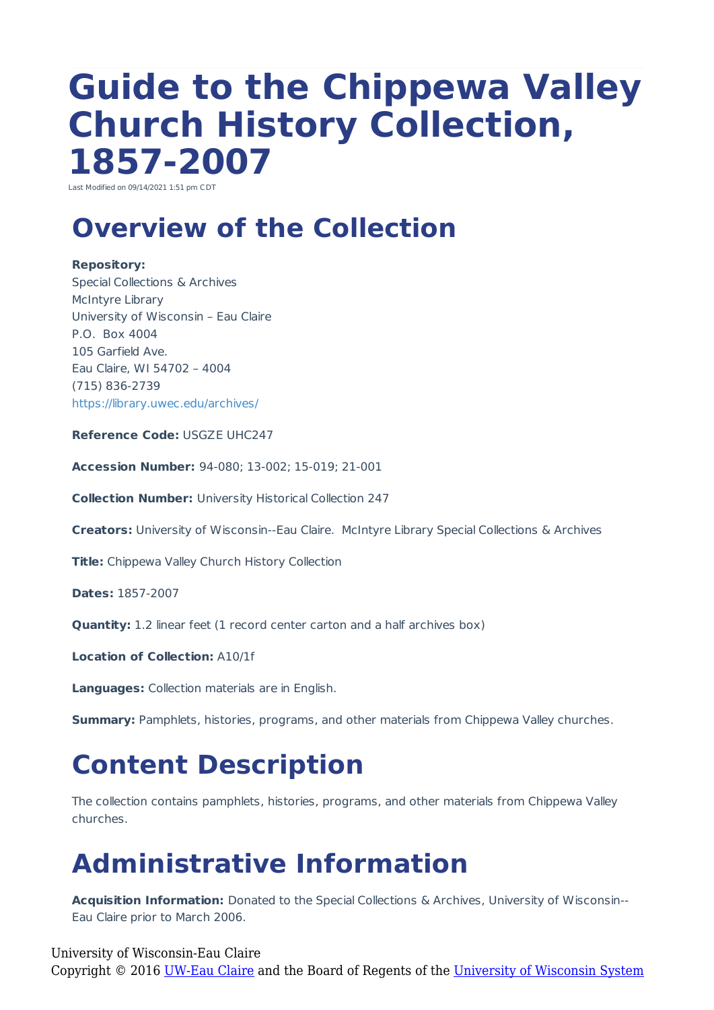# **Guide to the Chippewa Valley Church History Collection, 1857-2007**

Last Modified on 09/14/2021 1:51 pm CDT

# **Overview of the Collection**

#### **Repository:**

Special Collections & Archives McIntyre Library University of Wisconsin – Eau Claire P.O. Box 4004 105 Garfield Ave. Eau Claire, WI 54702 – 4004 (715) 836-2739 https://library.uwec.edu/archives/

**Reference Code:** USGZE UHC247

**Accession Number:** 94-080; 13-002; 15-019; 21-001

**Collection Number:** University Historical Collection 247

**Creators:** University of Wisconsin--Eau Claire. McIntyre Library Special Collections & Archives

**Title:** Chippewa Valley Church History Collection

**Dates:** 1857-2007

**Quantity:** 1.2 linear feet (1 record center carton and a half archives box)

**Location of Collection:** A10/1f

**Languages:** Collection materials are in English.

**Summary:** Pamphlets, histories, programs, and other materials from Chippewa Valley churches.

### **Content Description**

The collection contains pamphlets, histories, programs, and other materials from Chippewa Valley churches.

# **Administrative Information**

**Acquisition Information:** Donated to the Special Collections & Archives, University of Wisconsin-- Eau Claire prior to March 2006.

University of Wisconsin-Eau Claire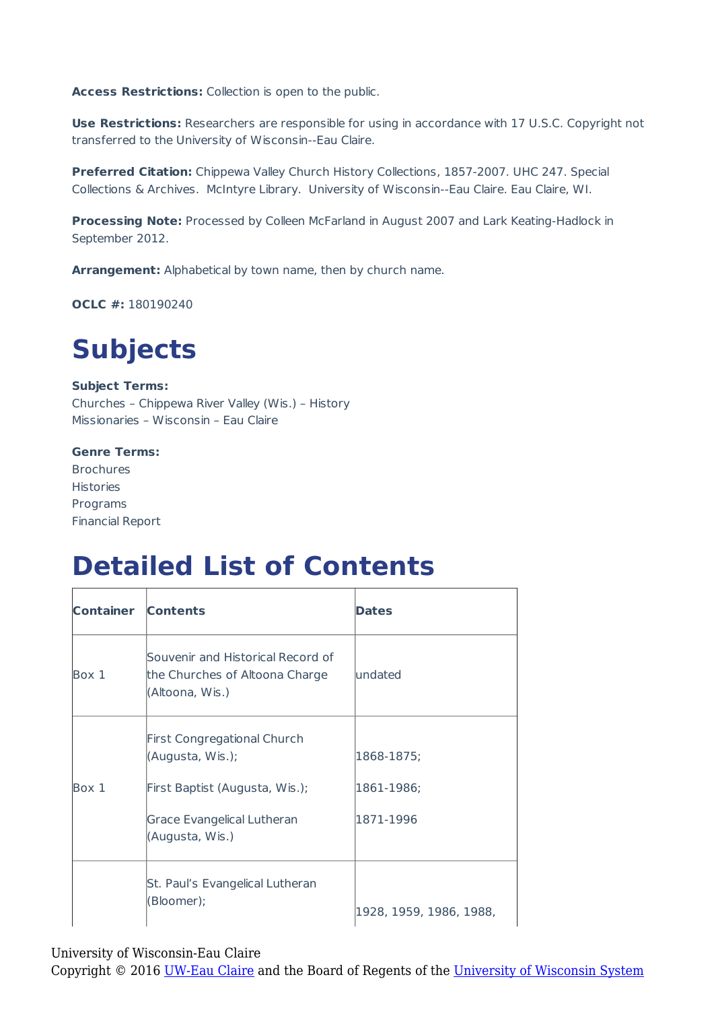**Access Restrictions:** Collection is open to the public.

**Use Restrictions:** Researchers are responsible for using in accordance with 17 U.S.C. Copyright not transferred to the University of Wisconsin--Eau Claire.

**Preferred Citation:** Chippewa Valley Church History Collections, 1857-2007. UHC 247. Special Collections & Archives. McIntyre Library. University of Wisconsin--Eau Claire. Eau Claire, WI.

**Processing Note:** Processed by Colleen McFarland in August 2007 and Lark Keating-Hadlock in September 2012.

**Arrangement:** Alphabetical by town name, then by church name.

**OCLC #:** 180190240

# **Subjects**

#### **Subject Terms:**

Churches – Chippewa River Valley (Wis.) – History Missionaries – Wisconsin – Eau Claire

#### **Genre Terms:**

Brochures Histories Programs Financial Report

### **Detailed List of Contents**

| <b>Container</b> | <b>Contents</b>                                                                        | <b>Dates</b>            |
|------------------|----------------------------------------------------------------------------------------|-------------------------|
| Box 1            | Souvenir and Historical Record of<br>the Churches of Altoona Charge<br>(Altoona, Wis.) | lundated                |
|                  | <b>First Congregational Church</b><br>(Augusta, Wis.);                                 | 1868-1875;              |
| Box 1            | First Baptist (Augusta, Wis.);                                                         | 1861-1986;              |
|                  | Grace Evangelical Lutheran<br>(Augusta, Wis.)                                          | 1871-1996               |
|                  | St. Paul's Evangelical Lutheran<br>(Bloomer);                                          | 1928, 1959, 1986, 1988, |

University of Wisconsin-Eau Claire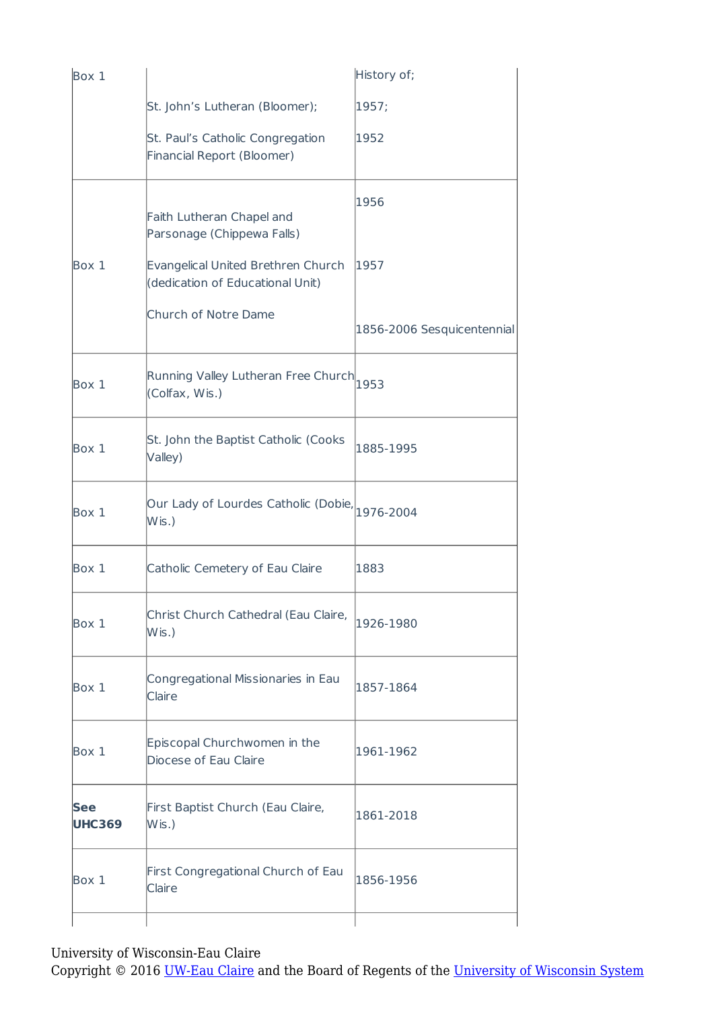| Box 1                       |                                                                        | History of;                |
|-----------------------------|------------------------------------------------------------------------|----------------------------|
|                             | St. John's Lutheran (Bloomer);                                         | 1957;                      |
|                             | St. Paul's Catholic Congregation<br>Financial Report (Bloomer)         | 1952                       |
|                             | Faith Lutheran Chapel and<br>Parsonage (Chippewa Falls)                | 1956                       |
| Box 1                       | Evangelical United Brethren Church<br>(dedication of Educational Unit) | 1957                       |
|                             | Church of Notre Dame                                                   | 1856-2006 Sesquicentennial |
| Box 1                       | Running Valley Lutheran Free Church<br>(Colfax, Wis.)                  | 1953                       |
| Box 1                       | St. John the Baptist Catholic (Cooks<br>Valley)                        | 1885-1995                  |
| Box 1                       | Our Lady of Lourdes Catholic (Dobie, 1976-2004<br>$W$ is.)             |                            |
| Box 1                       | Catholic Cemetery of Eau Claire                                        | 1883                       |
| Box 1                       | Christ Church Cathedral (Eau Claire,<br>$W$ is .)                      | 1926-1980                  |
| Box 1                       | Congregational Missionaries in Eau<br>Claire                           | 1857-1864                  |
| Box 1                       | Episcopal Churchwomen in the<br>Diocese of Eau Claire                  | 1961-1962                  |
| <b>See</b><br><b>UHC369</b> | First Baptist Church (Eau Claire,<br>$W$ is.)                          | 1861-2018                  |
| Box 1                       | First Congregational Church of Eau<br><b>Claire</b>                    | 1856-1956                  |
|                             |                                                                        |                            |

University of Wisconsin-Eau Claire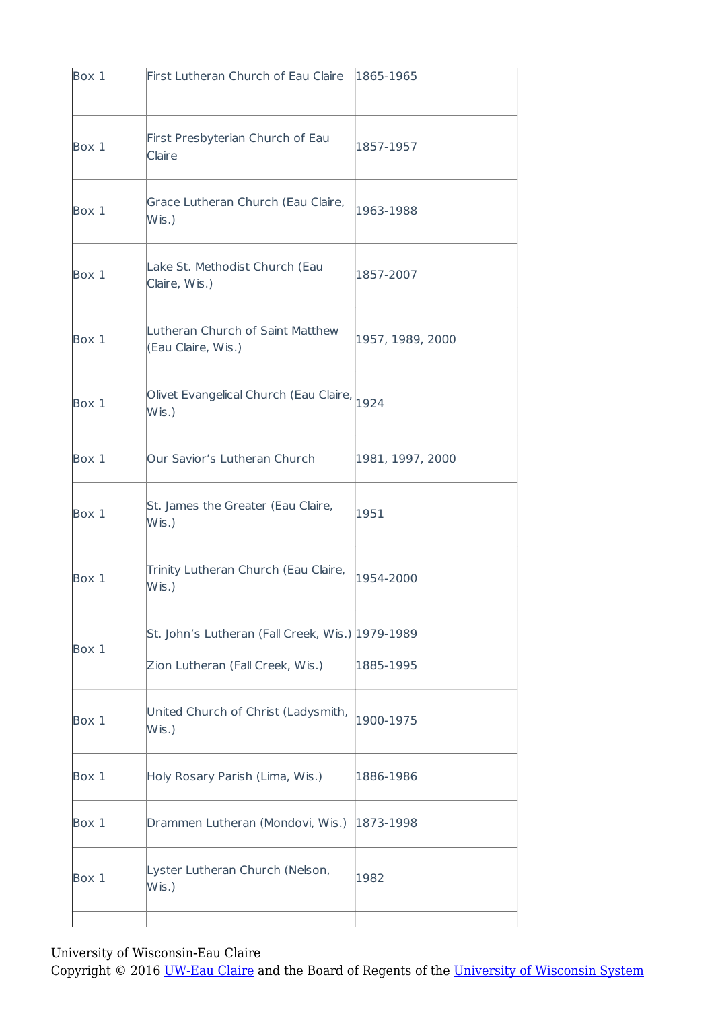| Box 1 | First Lutheran Church of Eau Claire                                | 1865-1965        |
|-------|--------------------------------------------------------------------|------------------|
| Box 1 | First Presbyterian Church of Eau<br>Claire                         | 1857-1957        |
| Box 1 | Grace Lutheran Church (Eau Claire,<br>$W$ is .)                    | 1963-1988        |
| Box 1 | Lake St. Methodist Church (Eau<br>Claire, Wis.)                    | 1857-2007        |
| Box 1 | Lutheran Church of Saint Matthew<br>(Eau Claire, Wis.)             | 1957, 1989, 2000 |
| Box 1 | Olivet Evangelical Church (Eau Claire, $\big _{1924}$<br>$W$ is .) |                  |
| Box 1 | Our Savior's Lutheran Church                                       | 1981, 1997, 2000 |
| Box 1 | St. James the Greater (Eau Claire,<br>$W$ is.)                     | 1951             |
| Box 1 | Trinity Lutheran Church (Eau Claire,<br>$W$ is .)                  | 1954-2000        |
| Box 1 | St. John's Lutheran (Fall Creek, Wis.) 1979-1989                   |                  |
|       | Zion Lutheran (Fall Creek, Wis.)                                   | 1885-1995        |
| Box 1 | United Church of Christ (Ladysmith,<br>$W$ is .)                   | 1900-1975        |
| Box 1 | Holy Rosary Parish (Lima, Wis.)                                    | 1886-1986        |
| Box 1 | Drammen Lutheran (Mondovi, Wis.)                                   | 1873-1998        |
| Box 1 | Lyster Lutheran Church (Nelson,<br>$W$ is.)                        | 1982             |
|       |                                                                    |                  |

University of Wisconsin-Eau Claire